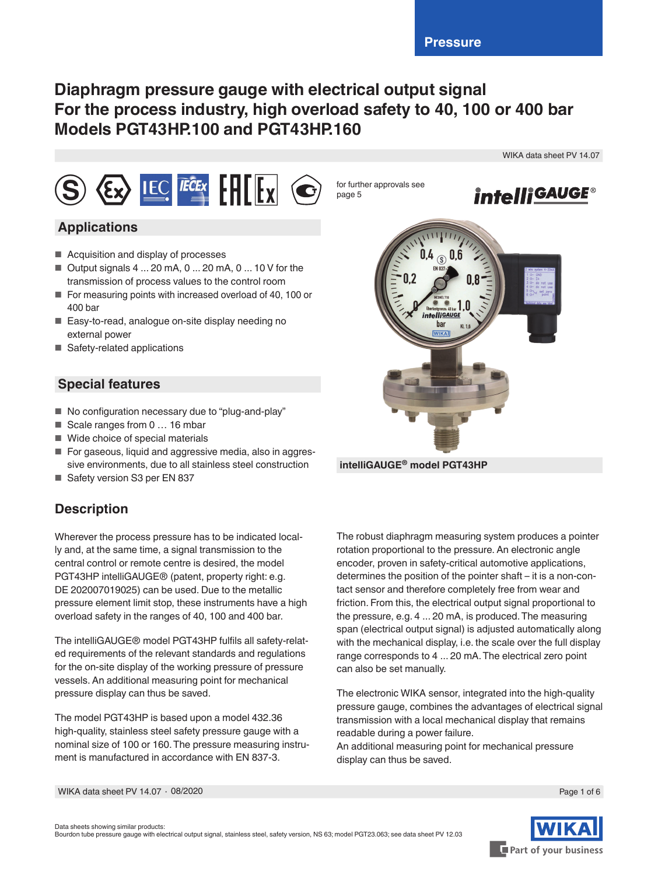# **Diaphragm pressure gauge with electrical output signal For the process industry, high overload safety to 40, 100 or 400 bar Models PGT43HP.100 and PGT43HP.160**



## **Applications**

- Acquisition and display of processes
- $\blacksquare$  Output signals 4 ... 20 mA, 0 ... 20 mA, 0 ... 10 V for the transmission of process values to the control room
- For measuring points with increased overload of 40, 100 or 400 bar
- Easy-to-read, analogue on-site display needing no external power
- Safety-related applications

## **Special features**

- No configuration necessary due to "plug-and-play"
- Scale ranges from 0 ... 16 mbar
- Wide choice of special materials
- For gaseous, liquid and aggressive media, also in aggressive environments, due to all stainless steel construction
- Safety version S3 per EN 837

# **Description**

Wherever the process pressure has to be indicated locally and, at the same time, a signal transmission to the central control or remote centre is desired, the model PGT43HP intelliGAUGE® (patent, property right: e.g. DE 202007019025) can be used. Due to the metallic pressure element limit stop, these instruments have a high overload safety in the ranges of 40, 100 and 400 bar.

The intelliGAUGE® model PGT43HP fulfils all safety-related requirements of the relevant standards and regulations for the on-site display of the working pressure of pressure vessels. An additional measuring point for mechanical pressure display can thus be saved.

The model PGT43HP is based upon a model 432.36 high-quality, stainless steel safety pressure gauge with a nominal size of 100 or 160. The pressure measuring instrument is manufactured in accordance with EN 837-3.



**intelliGAUGE® model PGT43HP**

The robust diaphragm measuring system produces a pointer rotation proportional to the pressure. An electronic angle encoder, proven in safety-critical automotive applications, determines the position of the pointer shaft – it is a non-contact sensor and therefore completely free from wear and friction. From this, the electrical output signal proportional to the pressure, e.g. 4 ... 20 mA, is produced. The measuring span (electrical output signal) is adjusted automatically along with the mechanical display, i.e. the scale over the full display range corresponds to 4 ... 20 mA. The electrical zero point can also be set manually.

The electronic WIKA sensor, integrated into the high-quality pressure gauge, combines the advantages of electrical signal transmission with a local mechanical display that remains readable during a power failure.

An additional measuring point for mechanical pressure display can thus be saved.

WIKA data sheet PV 14.07 ∙ 08/2020

Part of your business

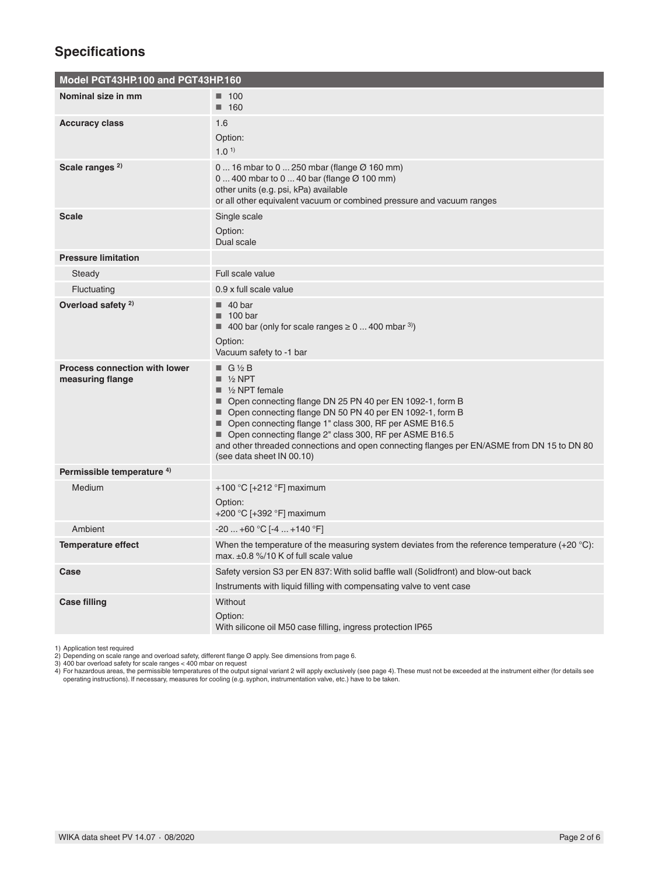# **Specifications**

| Model PGT43HP.100 and PGT43HP.160                        |                                                                                                                                                                                                                                                                                                                                                                                                                                                                  |
|----------------------------------------------------------|------------------------------------------------------------------------------------------------------------------------------------------------------------------------------------------------------------------------------------------------------------------------------------------------------------------------------------------------------------------------------------------------------------------------------------------------------------------|
| Nominal size in mm                                       | $\blacksquare$ 100<br>$\blacksquare$ 160                                                                                                                                                                                                                                                                                                                                                                                                                         |
| <b>Accuracy class</b>                                    | 1.6<br>Option:<br>1.0 <sup>1</sup>                                                                                                                                                                                                                                                                                                                                                                                                                               |
| Scale ranges <sup>2)</sup>                               | 0  16 mbar to 0  250 mbar (flange $\varnothing$ 160 mm)<br>$0400$ mbar to $040$ bar (flange $\varnothing$ 100 mm)<br>other units (e.g. psi, kPa) available<br>or all other equivalent vacuum or combined pressure and vacuum ranges                                                                                                                                                                                                                              |
| <b>Scale</b>                                             | Single scale<br>Option:<br>Dual scale                                                                                                                                                                                                                                                                                                                                                                                                                            |
| <b>Pressure limitation</b>                               |                                                                                                                                                                                                                                                                                                                                                                                                                                                                  |
| Steady                                                   | Full scale value                                                                                                                                                                                                                                                                                                                                                                                                                                                 |
| Fluctuating                                              | 0.9 x full scale value                                                                                                                                                                                                                                                                                                                                                                                                                                           |
| Overload safety <sup>2)</sup>                            | $\blacksquare$ 40 bar<br>$\blacksquare$ 100 bar<br>400 bar (only for scale ranges $\geq 0$ 400 mbar <sup>3)</sup> )<br>Option:<br>Vacuum safety to -1 bar                                                                                                                                                                                                                                                                                                        |
| <b>Process connection with lower</b><br>measuring flange | $\blacksquare$ G 1/2 B<br>$\blacksquare$ 1/2 NPT<br>$\blacksquare$ 1/2 NPT female<br>■ Open connecting flange DN 25 PN 40 per EN 1092-1, form B<br>■ Open connecting flange DN 50 PN 40 per EN 1092-1, form B<br>■ Open connecting flange 1" class 300, RF per ASME B16.5<br>■ Open connecting flange 2" class 300, RF per ASME B16.5<br>and other threaded connections and open connecting flanges per EN/ASME from DN 15 to DN 80<br>(see data sheet IN 00.10) |
| Permissible temperature 4)                               |                                                                                                                                                                                                                                                                                                                                                                                                                                                                  |
| Medium                                                   | +100 °C [+212 °F] maximum<br>Option:<br>+200 °C [+392 °F] maximum                                                                                                                                                                                                                                                                                                                                                                                                |
| Ambient                                                  | $-20+60$ °C $[-4+140$ °F]                                                                                                                                                                                                                                                                                                                                                                                                                                        |
| <b>Temperature effect</b>                                | When the temperature of the measuring system deviates from the reference temperature $(+20\degree C)$ :<br>max. ±0.8 %/10 K of full scale value                                                                                                                                                                                                                                                                                                                  |
| Case                                                     | Safety version S3 per EN 837: With solid baffle wall (Solidfront) and blow-out back<br>Instruments with liquid filling with compensating valve to vent case                                                                                                                                                                                                                                                                                                      |
| <b>Case filling</b>                                      | Without<br>Option:<br>With silicone oil M50 case filling, ingress protection IP65                                                                                                                                                                                                                                                                                                                                                                                |

1) Application test required<br>2) Depending on scale range and overload safety, different flange Ø apply. See dimensions from page 6.<br>4) 400 bar overload safety for scale ranges < 400 mbar on request<br>4) For hazardous areas,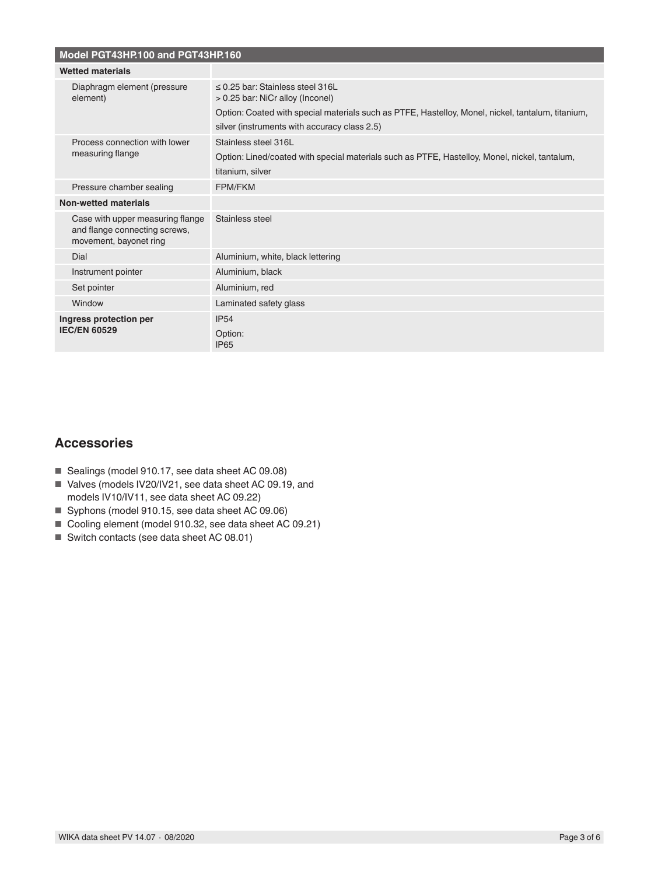| Model PGT43HP.100 and PGT43HP.160                                                           |                                                                                                                                                                                                                                |  |  |  |  |  |  |
|---------------------------------------------------------------------------------------------|--------------------------------------------------------------------------------------------------------------------------------------------------------------------------------------------------------------------------------|--|--|--|--|--|--|
| <b>Wetted materials</b>                                                                     |                                                                                                                                                                                                                                |  |  |  |  |  |  |
| Diaphragm element (pressure<br>element)                                                     | $\leq$ 0.25 bar: Stainless steel 316L<br>> 0.25 bar: NiCr alloy (Inconel)<br>Option: Coated with special materials such as PTFE, Hastelloy, Monel, nickel, tantalum, titanium,<br>silver (instruments with accuracy class 2.5) |  |  |  |  |  |  |
| Process connection with lower<br>measuring flange                                           | Stainless steel 316L<br>Option: Lined/coated with special materials such as PTFE, Hastelloy, Monel, nickel, tantalum,<br>titanium, silver                                                                                      |  |  |  |  |  |  |
| Pressure chamber sealing                                                                    | FPM/FKM                                                                                                                                                                                                                        |  |  |  |  |  |  |
| Non-wetted materials                                                                        |                                                                                                                                                                                                                                |  |  |  |  |  |  |
| Case with upper measuring flange<br>and flange connecting screws,<br>movement, bayonet ring | Stainless steel                                                                                                                                                                                                                |  |  |  |  |  |  |
| Dial                                                                                        | Aluminium, white, black lettering                                                                                                                                                                                              |  |  |  |  |  |  |
| Instrument pointer                                                                          | Aluminium, black                                                                                                                                                                                                               |  |  |  |  |  |  |
| Set pointer                                                                                 | Aluminium, red                                                                                                                                                                                                                 |  |  |  |  |  |  |
| Window                                                                                      | Laminated safety glass                                                                                                                                                                                                         |  |  |  |  |  |  |
| Ingress protection per<br><b>IEC/EN 60529</b>                                               | <b>IP54</b><br>Option:<br><b>IP65</b>                                                                                                                                                                                          |  |  |  |  |  |  |

## **Accessories**

- Sealings (model 910.17, see data sheet AC 09.08)
- Valves (models IV20/IV21, see data sheet AC 09.19, and models IV10/IV11, see data sheet AC 09.22)
- Syphons (model 910.15, see data sheet AC 09.06)
- Cooling element (model 910.32, see data sheet AC 09.21)
- Switch contacts (see data sheet AC 08.01)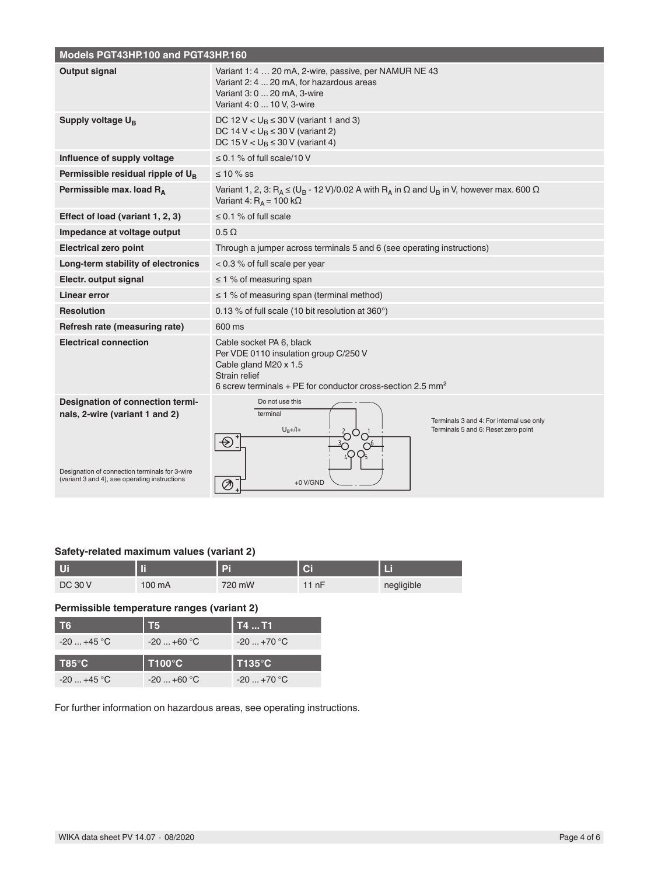| Models PGT43HP.100 and PGT43HP.160                                                                                                                                    |                                                                                                                                                                             |  |  |  |  |  |  |  |  |
|-----------------------------------------------------------------------------------------------------------------------------------------------------------------------|-----------------------------------------------------------------------------------------------------------------------------------------------------------------------------|--|--|--|--|--|--|--|--|
| <b>Output signal</b>                                                                                                                                                  | Variant 1: 4  20 mA, 2-wire, passive, per NAMUR NE 43<br>Variant 2: 4  20 mA, for hazardous areas<br>Variant 3: 0  20 mA, 3-wire<br>Variant 4: 0  10 V, 3-wire              |  |  |  |  |  |  |  |  |
| Supply voltage U <sub>B</sub>                                                                                                                                         | DC 12 V $< U_B \leq 30$ V (variant 1 and 3)<br>DC 14 V < $U_B \le 30$ V (variant 2)<br>DC 15 V < $U_B \le 30$ V (variant 4)                                                 |  |  |  |  |  |  |  |  |
| Influence of supply voltage                                                                                                                                           | $\leq$ 0.1 % of full scale/10 V                                                                                                                                             |  |  |  |  |  |  |  |  |
| Permissible residual ripple of $U_R$                                                                                                                                  | $\leq 10 \%$ SS                                                                                                                                                             |  |  |  |  |  |  |  |  |
| Permissible max. load $R_A$                                                                                                                                           | Variant 1, 2, 3: $R_A \leq (U_B - 12 V)/0.02 A$ with $R_A$ in $\Omega$ and $U_B$ in V, however max. 600 $\Omega$<br>Variant 4: $R_A$ = 100 k $\Omega$                       |  |  |  |  |  |  |  |  |
| Effect of load (variant 1, 2, 3)                                                                                                                                      | $\leq$ 0.1 % of full scale                                                                                                                                                  |  |  |  |  |  |  |  |  |
| Impedance at voltage output                                                                                                                                           | $0.5 \Omega$                                                                                                                                                                |  |  |  |  |  |  |  |  |
| <b>Electrical zero point</b>                                                                                                                                          | Through a jumper across terminals 5 and 6 (see operating instructions)                                                                                                      |  |  |  |  |  |  |  |  |
| Long-term stability of electronics                                                                                                                                    | $< 0.3$ % of full scale per year                                                                                                                                            |  |  |  |  |  |  |  |  |
| Electr. output signal                                                                                                                                                 | $\leq$ 1 % of measuring span                                                                                                                                                |  |  |  |  |  |  |  |  |
| Linear error                                                                                                                                                          | $\leq$ 1 % of measuring span (terminal method)                                                                                                                              |  |  |  |  |  |  |  |  |
| <b>Resolution</b>                                                                                                                                                     | 0.13 % of full scale (10 bit resolution at 360°)                                                                                                                            |  |  |  |  |  |  |  |  |
| Refresh rate (measuring rate)                                                                                                                                         | 600 ms                                                                                                                                                                      |  |  |  |  |  |  |  |  |
| <b>Electrical connection</b>                                                                                                                                          | Cable socket PA 6, black<br>Per VDE 0110 insulation group C/250 V<br>Cable gland M20 x 1.5<br>Strain relief<br>6 screw terminals + PE for conductor cross-section 2.5 $mm2$ |  |  |  |  |  |  |  |  |
| Designation of connection termi-<br>nals, 2-wire (variant 1 and 2)<br>Designation of connection terminals for 3-wire<br>(variant 3 and 4), see operating instructions | Do not use this<br>terminal<br>Terminals 3 and 4: For internal use only<br>$U_B + / I +$<br>Terminals 5 and 6: Reset zero point<br>$+0$ V/GND<br>⊘                          |  |  |  |  |  |  |  |  |

#### **Safety-related maximum values (variant 2)**

| Ui             | ш                |        | $\overline{C}$ | Πf         |  |
|----------------|------------------|--------|----------------|------------|--|
| <b>DC 30 V</b> | $100 \text{ mA}$ | 720 mW | 11 nF          | negligible |  |

#### **Permissible temperature ranges (variant 2)**

| Т6              | Т5            | T4  T1.     |
|-----------------|---------------|-------------|
| $-20$ +45 °C    | $-20+60$ °C   | $-20+70$ °C |
|                 |               |             |
| $T85^{\circ}$ C | <b>T100°C</b> | T135°C      |

For further information on hazardous areas, see operating instructions.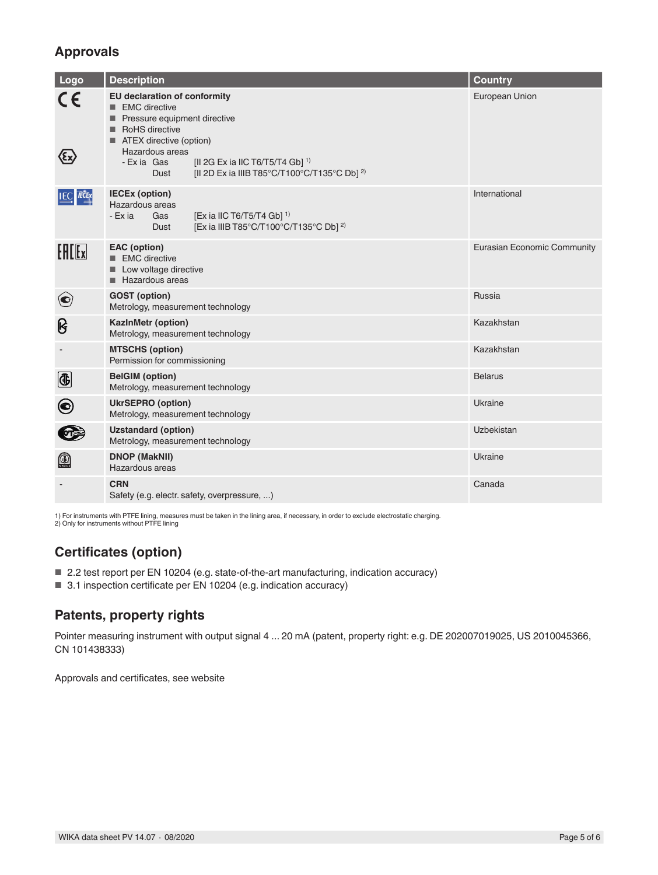## **Approvals**

| Logo                  | <b>Description</b>                                                                                                                                                                                                                                                                     | <b>Country</b>                     |
|-----------------------|----------------------------------------------------------------------------------------------------------------------------------------------------------------------------------------------------------------------------------------------------------------------------------------|------------------------------------|
| CE                    | <b>EU declaration of conformity</b><br>EMC directive<br>Pressure equipment directive<br>RoHS directive<br>■ ATEX directive (option)<br>Hazardous areas<br>[II 2G Ex ia IIC T6/T5/T4 Gb] <sup>1)</sup><br>- Exia Gas<br>[II 2D Ex ia IIIB T85°C/T100°C/T135°C Db] <sup>2)</sup><br>Dust | European Union                     |
| <b>IEC IECE</b> x     | <b>IECEx (option)</b><br>Hazardous areas<br>[Ex ia IIC T6/T5/T4 Gb] <sup>1)</sup><br>- Ex ia<br>Gas<br>[Ex ia IIIB T85°C/T100°C/T135°C Db] <sup>2)</sup><br>Dust                                                                                                                       | International                      |
| $F = F$               | <b>EAC</b> (option)<br>EMC directive<br>Low voltage directive<br>Hazardous areas                                                                                                                                                                                                       | <b>Eurasian Economic Community</b> |
| $\bf{C}$              | <b>GOST</b> (option)<br>Metrology, measurement technology                                                                                                                                                                                                                              | Russia                             |
| ၆                     | <b>KazinMetr (option)</b><br>Metrology, measurement technology                                                                                                                                                                                                                         | Kazakhstan                         |
|                       | <b>MTSCHS (option)</b><br>Permission for commissioning                                                                                                                                                                                                                                 | Kazakhstan                         |
| $\bigcirc$            | <b>BelGIM</b> (option)<br>Metrology, measurement technology                                                                                                                                                                                                                            | <b>Belarus</b>                     |
| $\boldsymbol{\Theta}$ | <b>UkrSEPRO (option)</b><br>Metrology, measurement technology                                                                                                                                                                                                                          | Ukraine                            |
|                       | <b>Uzstandard (option)</b><br>Metrology, measurement technology                                                                                                                                                                                                                        | Uzbekistan                         |
| $\mathbb{Q}$          | <b>DNOP (MakNII)</b><br>Hazardous areas                                                                                                                                                                                                                                                | Ukraine                            |
|                       | <b>CRN</b><br>Safety (e.g. electr. safety, overpressure, )                                                                                                                                                                                                                             | Canada                             |

1) For instruments with PTFE lining, measures must be taken in the lining area, if necessary, in order to exclude electrostatic charging. 2) Only for instruments without PTFE lining

# **Certificates (option)**

- 2.2 test report per EN 10204 (e.g. state-of-the-art manufacturing, indication accuracy)
- 3.1 inspection certificate per EN 10204 (e.g. indication accuracy)

# **Patents, property rights**

Pointer measuring instrument with output signal 4 ... 20 mA (patent, property right: e.g. DE 202007019025, US 2010045366, CN 101438333)

Approvals and certificates, see website